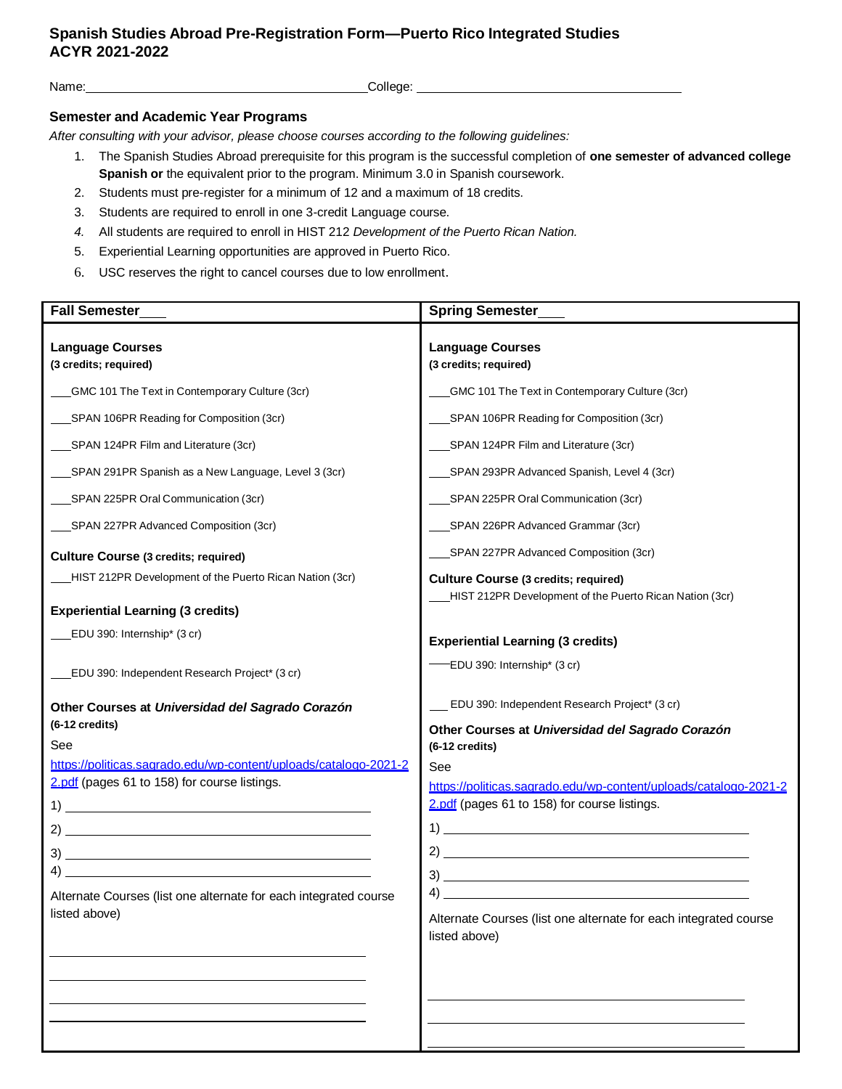## **Spanish Studies Abroad Pre-Registration Form—Puerto Rico Integrated Studies ACYR 2021-2022**

Name: College:

## **Semester and Academic Year Programs**

*After consulting with your advisor, please choose courses according to the following guidelines:*

- 1. The Spanish Studies Abroad prerequisite for this program is the successful completion of **one semester of advanced college Spanish or** the equivalent prior to the program. Minimum 3.0 in Spanish coursework.
- 2. Students must pre-register for a minimum of 12 and a maximum of 18 credits.
- 3. Students are required to enroll in one 3-credit Language course.
- *4.* All students are required to enroll in HIST 212 *Development of the Puerto Rican Nation.*
- 5. Experiential Learning opportunities are approved in Puerto Rico.
- 6. USC reserves the right to cancel courses due to low enrollment.

| <b>Fall Semester</b>                                             | <b>Spring Semester</b>                                                                                 |
|------------------------------------------------------------------|--------------------------------------------------------------------------------------------------------|
| <b>Language Courses</b><br>(3 credits; required)                 | <b>Language Courses</b><br>(3 credits; required)                                                       |
| GMC 101 The Text in Contemporary Culture (3cr)                   | GMC 101 The Text in Contemporary Culture (3cr)                                                         |
| SPAN 106PR Reading for Composition (3cr)                         | SPAN 106PR Reading for Composition (3cr)                                                               |
| _SPAN 124PR Film and Literature (3cr)                            | SPAN 124PR Film and Literature (3cr)                                                                   |
| SPAN 291PR Spanish as a New Language, Level 3 (3cr)              | SPAN 293PR Advanced Spanish, Level 4 (3cr)                                                             |
| SPAN 225PR Oral Communication (3cr)                              | SPAN 225PR Oral Communication (3cr)                                                                    |
| _SPAN 227PR Advanced Composition (3cr)                           | SPAN 226PR Advanced Grammar (3cr)                                                                      |
| <b>Culture Course (3 credits; required)</b>                      | SPAN 227PR Advanced Composition (3cr)                                                                  |
| HIST 212PR Development of the Puerto Rican Nation (3cr)          | <b>Culture Course (3 credits; required)</b><br>HIST 212PR Development of the Puerto Rican Nation (3cr) |
| <b>Experiential Learning (3 credits)</b>                         |                                                                                                        |
| EDU 390: Internship* (3 cr)                                      | <b>Experiential Learning (3 credits)</b>                                                               |
| EDU 390: Independent Research Project* (3 cr)                    | EDU 390: Internship* (3 cr)                                                                            |
| Other Courses at Universidad del Sagrado Corazón                 | EDU 390: Independent Research Project* (3 cr)                                                          |
| (6-12 credits)                                                   | Other Courses at Universidad del Sagrado Corazón                                                       |
| See                                                              | $(6-12$ credits)                                                                                       |
| https://politicas.sagrado.edu/wp-content/uploads/catalogo-2021-2 | See                                                                                                    |
| 2.pdf (pages 61 to 158) for course listings.                     | https://politicas.sagrado.edu/wp-content/uploads/catalogo-2021-2                                       |
|                                                                  | 2.pdf (pages 61 to 158) for course listings.                                                           |
|                                                                  |                                                                                                        |
| 3)                                                               |                                                                                                        |
|                                                                  |                                                                                                        |
| Alternate Courses (list one alternate for each integrated course | $\left(4\right)$                                                                                       |
| listed above)                                                    | Alternate Courses (list one alternate for each integrated course<br>listed above)                      |
|                                                                  |                                                                                                        |
|                                                                  |                                                                                                        |
|                                                                  |                                                                                                        |
|                                                                  |                                                                                                        |
|                                                                  |                                                                                                        |